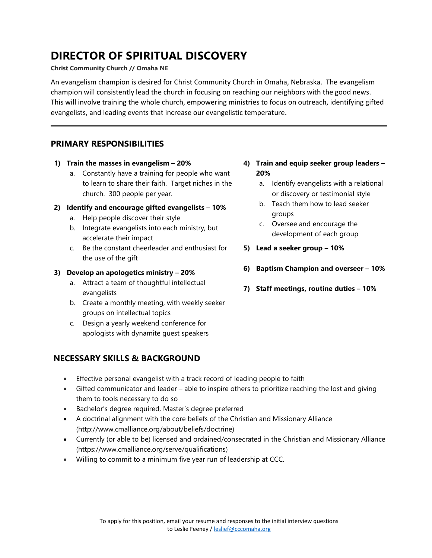## **DIRECTOR OF SPIRITUAL DISCOVERY**

#### **Christ Community Church // Omaha NE**

An evangelism champion is desired for Christ Community Church in Omaha, Nebraska. The evangelism champion will consistently lead the church in focusing on reaching our neighbors with the good news. This will involve training the whole church, empowering ministries to focus on outreach, identifying gifted evangelists, and leading events that increase our evangelistic temperature.

## **PRIMARY RESPONSIBILITIES**

- **1) Train the masses in evangelism – 20%**
	- a. Constantly have a training for people who want to learn to share their faith. Target niches in the church. 300 people per year.
- **2) Identify and encourage gifted evangelists – 10%**
	- a. Help people discover their style
	- b. Integrate evangelists into each ministry, but accelerate their impact
	- c. Be the constant cheerleader and enthusiast for the use of the gift

### **3) Develop an apologetics ministry – 20%**

- a. Attract a team of thoughtful intellectual evangelists
- b. Create a monthly meeting, with weekly seeker groups on intellectual topics
- c. Design a yearly weekend conference for apologists with dynamite guest speakers

## **NECESSARY SKILLS & BACKGROUND**

- Effective personal evangelist with a track record of leading people to faith
- Gifted communicator and leader able to inspire others to prioritize reaching the lost and giving them to tools necessary to do so
- Bachelor's degree required, Master's degree preferred
- A doctrinal alignment with the core beliefs of the Christian and Missionary Alliance (http://www.cmalliance.org/about/beliefs/doctrine)
- Currently (or able to be) licensed and ordained/consecrated in the Christian and Missionary Alliance (https://www.cmalliance.org/serve/qualifications)
- Willing to commit to a minimum five year run of leadership at CCC.
- **4) Train and equip seeker group leaders – 20%**
	- a. Identify evangelists with a relational or discovery or testimonial style
	- b. Teach them how to lead seeker groups
	- c. Oversee and encourage the development of each group
- **5) Lead a seeker group – 10%**
- **6) Baptism Champion and overseer – 10%**
- **7) Staff meetings, routine duties – 10%**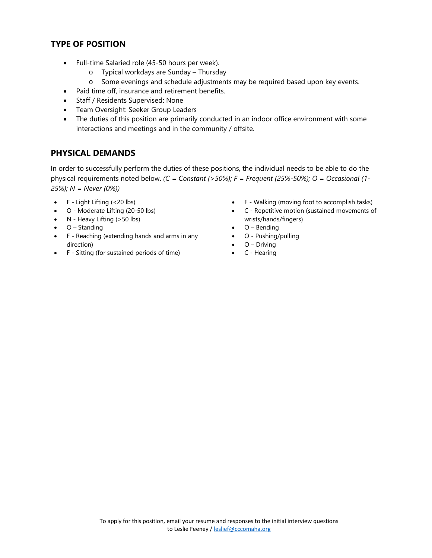## **TYPE OF POSITION**

- Full-time Salaried role (45-50 hours per week).
	- o Typical workdays are Sunday Thursday
	- o Some evenings and schedule adjustments may be required based upon key events.
- Paid time off, insurance and retirement benefits.
- Staff / Residents Supervised: None
- Team Oversight: Seeker Group Leaders
- The duties of this position are primarily conducted in an indoor office environment with some interactions and meetings and in the community / offsite.

## **PHYSICAL DEMANDS**

In order to successfully perform the duties of these positions, the individual needs to be able to do the physical requirements noted below. *(C = Constant (>50%); F = Frequent (25%-50%); O = Occasional (1- 25%); N = Never (0%))* 

- $\bullet$  F Light Lifting (<20 lbs)
- O Moderate Lifting (20-50 lbs)
- N Heavy Lifting (>50 lbs)
- O Standing
- F Reaching (extending hands and arms in any direction)
- F Sitting (for sustained periods of time)
- F Walking (moving foot to accomplish tasks)
- C Repetitive motion (sustained movements of wrists/hands/fingers)
- O Bending
- O Pushing/pulling
	- $\bullet$  O Driving
- C Hearing